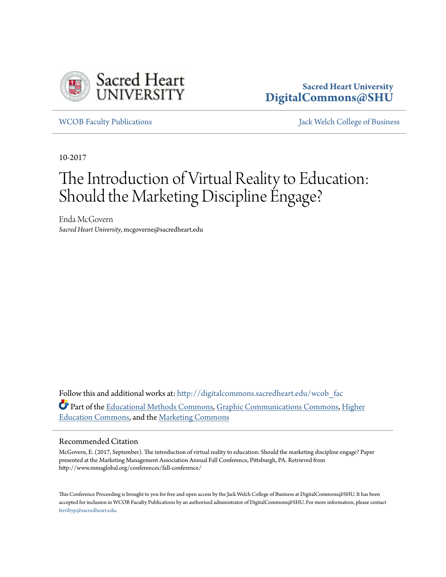

### **Sacred Heart University [DigitalCommons@SHU](http://digitalcommons.sacredheart.edu?utm_source=digitalcommons.sacredheart.edu%2Fwcob_fac%2F456&utm_medium=PDF&utm_campaign=PDFCoverPages)**

[WCOB Faculty Publications](http://digitalcommons.sacredheart.edu/wcob_fac?utm_source=digitalcommons.sacredheart.edu%2Fwcob_fac%2F456&utm_medium=PDF&utm_campaign=PDFCoverPages) [Jack Welch College of Business](http://digitalcommons.sacredheart.edu/wcob?utm_source=digitalcommons.sacredheart.edu%2Fwcob_fac%2F456&utm_medium=PDF&utm_campaign=PDFCoverPages)

10-2017

# The Introduction of Virtual Reality to Education: Should the Marketing Discipline Engage?

Enda McGovern *Sacred Heart University*, mcgoverne@sacredheart.edu

Follow this and additional works at: [http://digitalcommons.sacredheart.edu/wcob\\_fac](http://digitalcommons.sacredheart.edu/wcob_fac?utm_source=digitalcommons.sacredheart.edu%2Fwcob_fac%2F456&utm_medium=PDF&utm_campaign=PDFCoverPages) Part of the [Educational Methods Commons,](https://network.bepress.com/hgg/discipline/1227?utm_source=digitalcommons.sacredheart.edu%2Fwcob_fac%2F456&utm_medium=PDF&utm_campaign=PDFCoverPages) [Graphic Communications Commons,](https://network.bepress.com/hgg/discipline/1052?utm_source=digitalcommons.sacredheart.edu%2Fwcob_fac%2F456&utm_medium=PDF&utm_campaign=PDFCoverPages) [Higher](https://network.bepress.com/hgg/discipline/1245?utm_source=digitalcommons.sacredheart.edu%2Fwcob_fac%2F456&utm_medium=PDF&utm_campaign=PDFCoverPages) [Education Commons](https://network.bepress.com/hgg/discipline/1245?utm_source=digitalcommons.sacredheart.edu%2Fwcob_fac%2F456&utm_medium=PDF&utm_campaign=PDFCoverPages), and the [Marketing Commons](https://network.bepress.com/hgg/discipline/638?utm_source=digitalcommons.sacredheart.edu%2Fwcob_fac%2F456&utm_medium=PDF&utm_campaign=PDFCoverPages)

### Recommended Citation

McGovern, E. (2017, September). The introduction of virtual reality to education: Should the marketing discipline engage? Paper presented at the Marketing Management Association Annual Fall Conference, Pittsburgh, PA. Retrieved from http://www.mmaglobal.org/conferences/fall-conference/

This Conference Proceeding is brought to you for free and open access by the Jack Welch College of Business at DigitalCommons@SHU. It has been accepted for inclusion in WCOB Faculty Publications by an authorized administrator of DigitalCommons@SHU. For more information, please contact [ferribyp@sacredheart.edu](mailto:ferribyp@sacredheart.edu).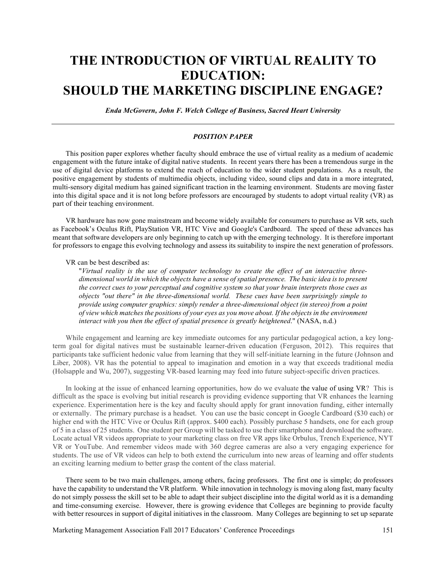## **THE INTRODUCTION OF VIRTUAL REALITY TO EDUCATION: SHOULD THE MARKETING DISCIPLINE ENGAGE?**

*Enda McGovern, John F. Welch College of Business, Sacred Heart University*

### *POSITION PAPER*

This position paper explores whether faculty should embrace the use of virtual reality as a medium of academic engagement with the future intake of digital native students. In recent years there has been a tremendous surge in the use of digital device platforms to extend the reach of education to the wider student populations. As a result, the positive engagement by students of multimedia objects, including video, sound clips and data in a more integrated, multi-sensory digital medium has gained significant traction in the learning environment. Students are moving faster into this digital space and it is not long before professors are encouraged by students to adopt virtual reality (VR) as part of their teaching environment.

VR hardware has now gone mainstream and become widely available for consumers to purchase as VR sets, such as Facebook's Oculus Rift, PlayStation VR, HTC Vive and Google's Cardboard. The speed of these advances has meant that software developers are only beginning to catch up with the emerging technology. It is therefore important for professors to engage this evolving technology and assess its suitability to inspire the next generation of professors.

### VR can be best described as:

"*Virtual reality is the use of computer technology to create the effect of an interactive threedimensional world in which the objects have a sense of spatial presence. The basic idea is to present the correct cues to your perceptual and cognitive system so that your brain interprets those cues as objects "out there" in the three-dimensional world. These cues have been surprisingly simple to provide using computer graphics: simply render a three-dimensional object (in stereo) from a point of view which matches the positions of your eyes as you move about. If the objects in the environment interact with you then the effect of spatial presence is greatly heightened*." (NASA, n.d.)

While engagement and learning are key immediate outcomes for any particular pedagogical action, a key longterm goal for digital natives must be sustainable learner-driven education (Ferguson, 2012). This requires that participants take sufficient hedonic value from learning that they will self-initiate learning in the future (Johnson and Liber, 2008). VR has the potential to appeal to imagination and emotion in a way that exceeds traditional media (Holsapple and Wu, 2007), suggesting VR-based learning may feed into future subject-specific driven practices.

In looking at the issue of enhanced learning opportunities, how do we evaluate the value of using VR? This is difficult as the space is evolving but initial research is providing evidence supporting that VR enhances the learning experience. Experimentation here is the key and faculty should apply for grant innovation funding, either internally or externally. The primary purchase is a headset. You can use the basic concept in Google Cardboard (\$30 each) or higher end with the HTC Vive or Oculus Rift (approx. \$400 each). Possibly purchase 5 handsets, one for each group of 5 in a class of 25 students. One student per Group will be tasked to use their smartphone and download the software. Locate actual VR videos appropriate to your marketing class on free VR apps like Orbulus, Trench Experience, NYT VR or YouTube. And remember videos made with 360 degree cameras are also a very engaging experience for students. The use of VR videos can help to both extend the curriculum into new areas of learning and offer students an exciting learning medium to better grasp the content of the class material.

There seem to be two main challenges, among others, facing professors. The first one is simple; do professors have the capability to understand the VR platform. While innovation in technology is moving along fast, many faculty do not simply possess the skill set to be able to adapt their subject discipline into the digital world as it is a demanding and time-consuming exercise. However, there is growing evidence that Colleges are beginning to provide faculty with better resources in support of digital initiatives in the classroom. Many Colleges are beginning to set up separate

Marketing Management Association Fall 2017 Educators' Conference Proceedings 151